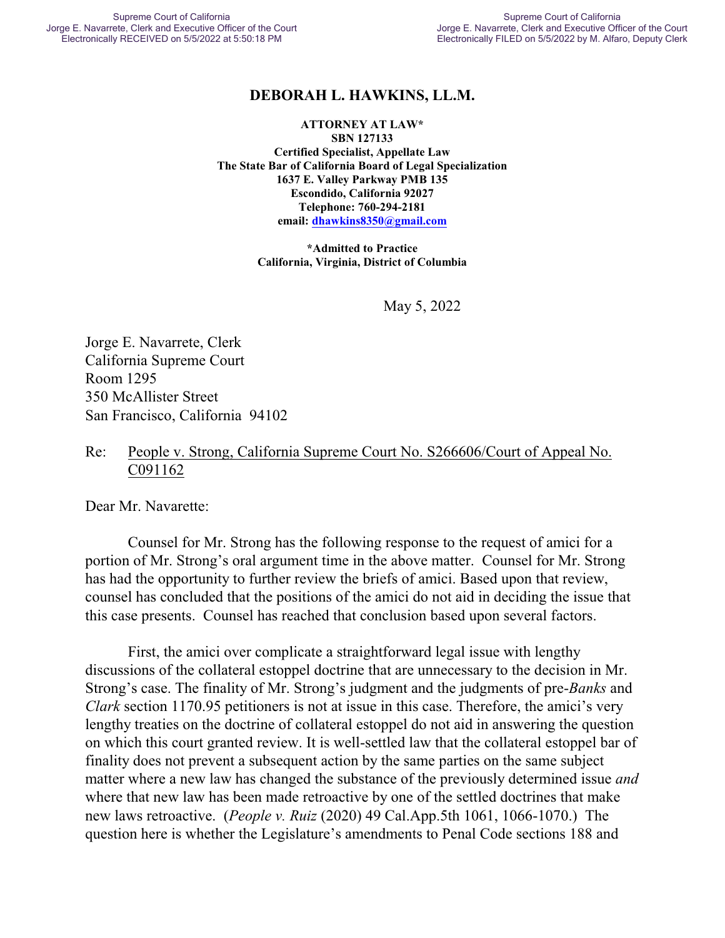## **DEBORAH L. HAWKINS, LL.M.**

**ATTORNEY AT LAW\* SBN 127133 Certified Specialist, Appellate Law The State Bar of California Board of Legal Specialization 1637 E. Valley Parkway PMB 135 Escondido, California 92027 Telephone: 760-294-2181 email: [dhawkins8350@gmail.com](mailto:dhawkins8350@gmail.com)**

> **\*Admitted to Practice California, Virginia, District of Columbia**

> > May 5, 2022

Jorge E. Navarrete, Clerk California Supreme Court Room 1295 350 McAllister Street San Francisco, California 94102

### Re: People v. Strong, California Supreme Court No. S266606/Court of Appeal No. C091162

Dear Mr. Navarette:

Counsel for Mr. Strong has the following response to the request of amici for a portion of Mr. Strong's oral argument time in the above matter. Counsel for Mr. Strong has had the opportunity to further review the briefs of amici. Based upon that review, counsel has concluded that the positions of the amici do not aid in deciding the issue that this case presents. Counsel has reached that conclusion based upon several factors.

First, the amici over complicate a straightforward legal issue with lengthy discussions of the collateral estoppel doctrine that are unnecessary to the decision in Mr. Strong's case. The finality of Mr. Strong's judgment and the judgments of pre-*Banks* and *Clark* section 1170.95 petitioners is not at issue in this case. Therefore, the amici's very lengthy treaties on the doctrine of collateral estoppel do not aid in answering the question on which this court granted review. It is well-settled law that the collateral estoppel bar of finality does not prevent a subsequent action by the same parties on the same subject matter where a new law has changed the substance of the previously determined issue *and* where that new law has been made retroactive by one of the settled doctrines that make new laws retroactive. (*People v. Ruiz* (2020) 49 Cal.App.5th 1061, 1066-1070.) The question here is whether the Legislature's amendments to Penal Code sections 188 and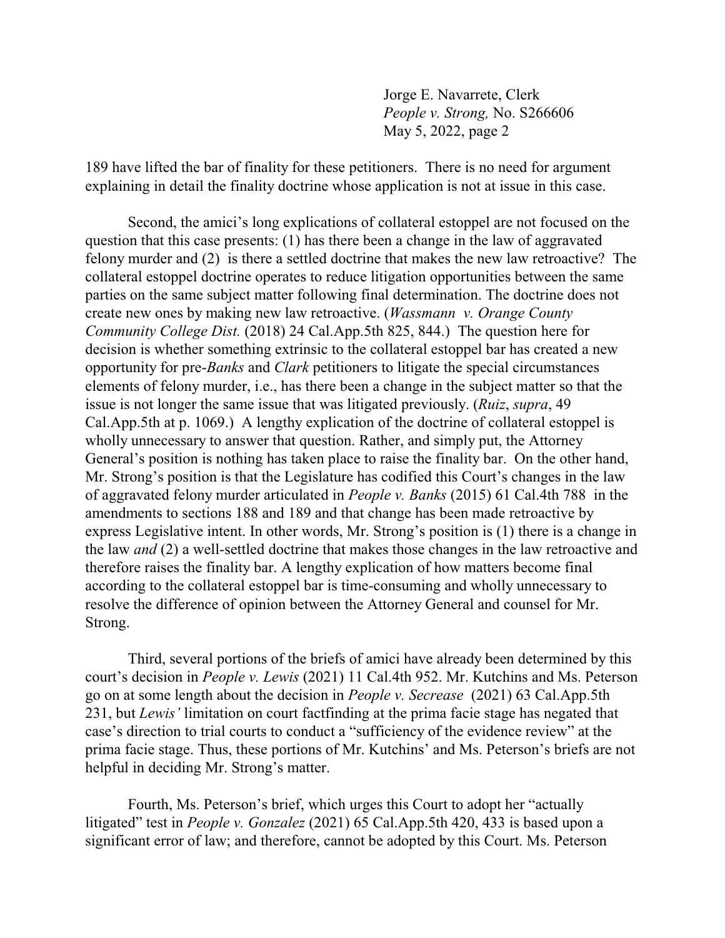Jorge E. Navarrete, Clerk *People v. Strong,* No. S266606 May 5, 2022, page 2

189 have lifted the bar of finality for these petitioners. There is no need for argument explaining in detail the finality doctrine whose application is not at issue in this case.

Second, the amici's long explications of collateral estoppel are not focused on the question that this case presents: (1) has there been a change in the law of aggravated felony murder and (2) is there a settled doctrine that makes the new law retroactive? The collateral estoppel doctrine operates to reduce litigation opportunities between the same parties on the same subject matter following final determination. The doctrine does not create new ones by making new law retroactive. (*Wassmann v. Orange County Community College Dist.* (2018) 24 Cal.App.5th 825, 844.) The question here for decision is whether something extrinsic to the collateral estoppel bar has created a new opportunity for pre-*Banks* and *Clark* petitioners to litigate the special circumstances elements of felony murder, i.e., has there been a change in the subject matter so that the issue is not longer the same issue that was litigated previously. (*Ruiz*, *supra*, 49 Cal.App.5th at p. 1069.) A lengthy explication of the doctrine of collateral estoppel is wholly unnecessary to answer that question. Rather, and simply put, the Attorney General's position is nothing has taken place to raise the finality bar. On the other hand, Mr. Strong's position is that the Legislature has codified this Court's changes in the law of aggravated felony murder articulated in *People v. Banks* (2015) 61 Cal.4th 788 in the amendments to sections 188 and 189 and that change has been made retroactive by express Legislative intent. In other words, Mr. Strong's position is (1) there is a change in the law *and* (2) a well-settled doctrine that makes those changes in the law retroactive and therefore raises the finality bar. A lengthy explication of how matters become final according to the collateral estoppel bar is time-consuming and wholly unnecessary to resolve the difference of opinion between the Attorney General and counsel for Mr. Strong.

Third, several portions of the briefs of amici have already been determined by this court's decision in *People v. Lewis* (2021) 11 Cal.4th 952. Mr. Kutchins and Ms. Peterson go on at some length about the decision in *People v. Secrease* (2021) 63 Cal.App.5th 231, but *Lewis'* limitation on court factfinding at the prima facie stage has negated that case's direction to trial courts to conduct a "sufficiency of the evidence review" at the prima facie stage. Thus, these portions of Mr. Kutchins' and Ms. Peterson's briefs are not helpful in deciding Mr. Strong's matter.

Fourth, Ms. Peterson's brief, which urges this Court to adopt her "actually litigated" test in *People v. Gonzalez* (2021) 65 Cal.App.5th 420, 433 is based upon a significant error of law; and therefore, cannot be adopted by this Court. Ms. Peterson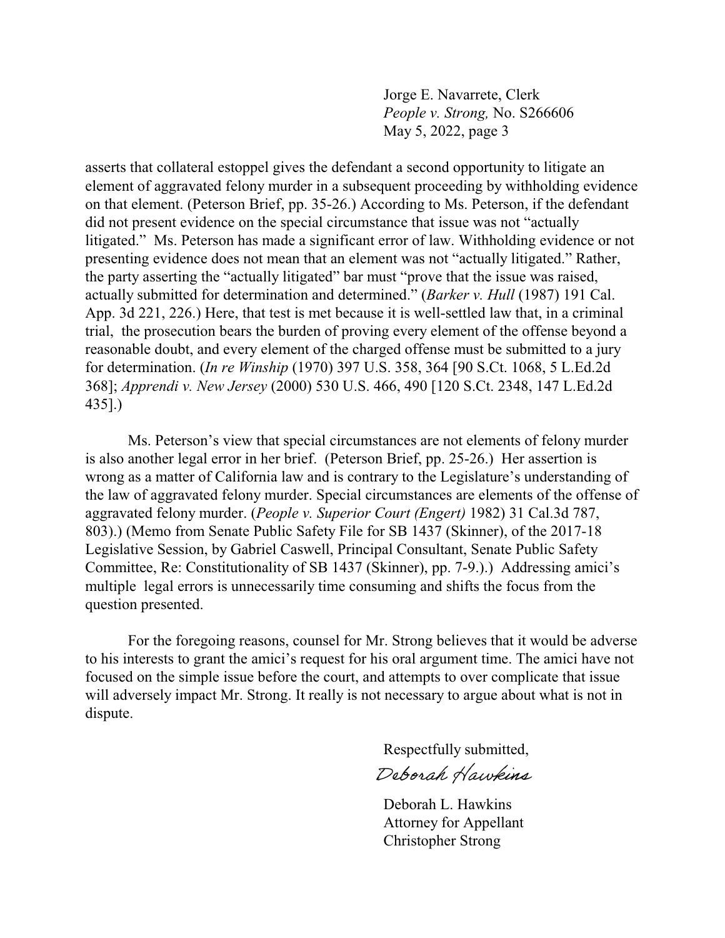Jorge E. Navarrete, Clerk *People v. Strong,* No. S266606 May 5, 2022, page 3

asserts that collateral estoppel gives the defendant a second opportunity to litigate an element of aggravated felony murder in a subsequent proceeding by withholding evidence on that element. (Peterson Brief, pp. 35-26.) According to Ms. Peterson, if the defendant did not present evidence on the special circumstance that issue was not "actually litigated." Ms. Peterson has made a significant error of law. Withholding evidence or not presenting evidence does not mean that an element was not "actually litigated." Rather, the party asserting the "actually litigated" bar must "prove that the issue was raised, actually submitted for determination and determined." (*Barker v. Hull* (1987) 191 Cal. App. 3d 221, 226.) Here, that test is met because it is well-settled law that, in a criminal trial, the prosecution bears the burden of proving every element of the offense beyond a reasonable doubt, and every element of the charged offense must be submitted to a jury for determination. (*In re Winship* (1970) 397 U.S. 358, 364 [90 S.Ct. 1068, 5 L.Ed.2d 368]; *Apprendi v. New Jersey* (2000) 530 U.S. 466, 490 [120 S.Ct. 2348, 147 L.Ed.2d 435].)

Ms. Peterson's view that special circumstances are not elements of felony murder is also another legal error in her brief. (Peterson Brief, pp. 25-26.) Her assertion is wrong as a matter of California law and is contrary to the Legislature's understanding of the law of aggravated felony murder. Special circumstances are elements of the offense of aggravated felony murder. (*People v. Superior Court (Engert)* 1982) 31 Cal.3d 787, 803).) (Memo from Senate Public Safety File for SB 1437 (Skinner), of the 2017-18 Legislative Session, by Gabriel Caswell, Principal Consultant, Senate Public Safety Committee, Re: Constitutionality of SB 1437 (Skinner), pp. 7-9.).) Addressing amici's multiple legal errors is unnecessarily time consuming and shifts the focus from the question presented.

For the foregoing reasons, counsel for Mr. Strong believes that it would be adverse to his interests to grant the amici's request for his oral argument time. The amici have not focused on the simple issue before the court, and attempts to over complicate that issue will adversely impact Mr. Strong. It really is not necessary to argue about what is not in dispute.

> Respectfully submitted, Deborah Hawkins

Deborah L. Hawkins Attorney for Appellant Christopher Strong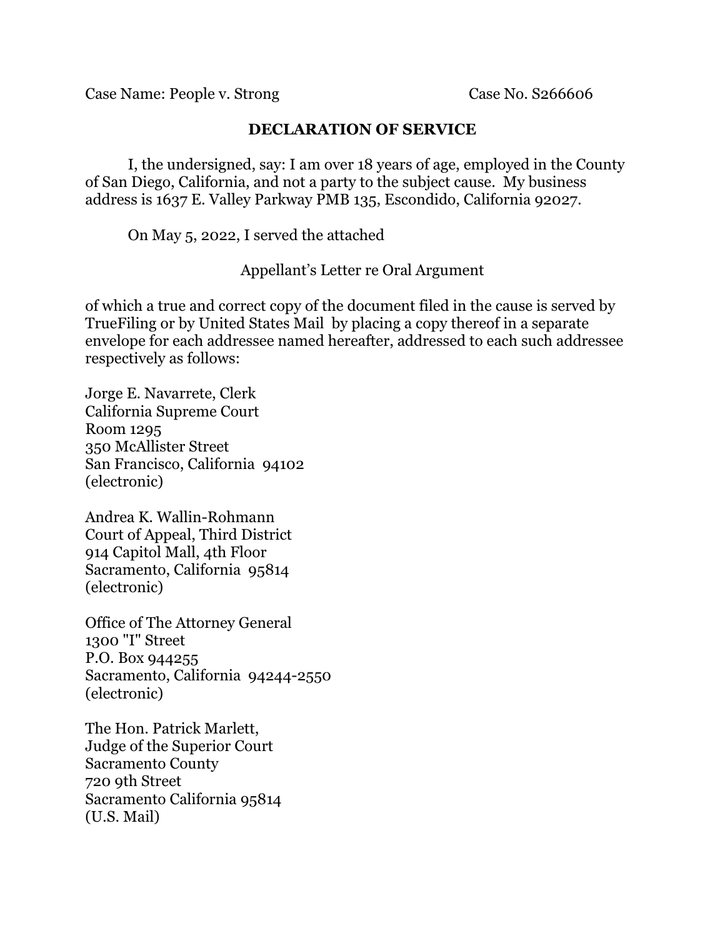Case Name: People v. Strong Case No. S266606

## **DECLARATION OF SERVICE**

I, the undersigned, say: I am over 18 years of age, employed in the County of San Diego, California, and not a party to the subject cause. My business address is 1637 E. Valley Parkway PMB 135, Escondido, California 92027.

On May 5, 2022, I served the attached

Appellant's Letter re Oral Argument

of which a true and correct copy of the document filed in the cause is served by TrueFiling or by United States Mail by placing a copy thereof in a separate envelope for each addressee named hereafter, addressed to each such addressee respectively as follows:

Jorge E. Navarrete, Clerk California Supreme Court Room 1295 350 McAllister Street San Francisco, California 94102 (electronic)

Andrea K. Wallin-Rohmann Court of Appeal, Third District 914 Capitol Mall, 4th Floor Sacramento, California 95814 (electronic)

Office of The Attorney General 1300 "I" Street P.O. Box 944255 Sacramento, California 94244-2550 (electronic)

The Hon. Patrick Marlett, Judge of the Superior Court Sacramento County 720 9th Street Sacramento California 95814 (U.S. Mail)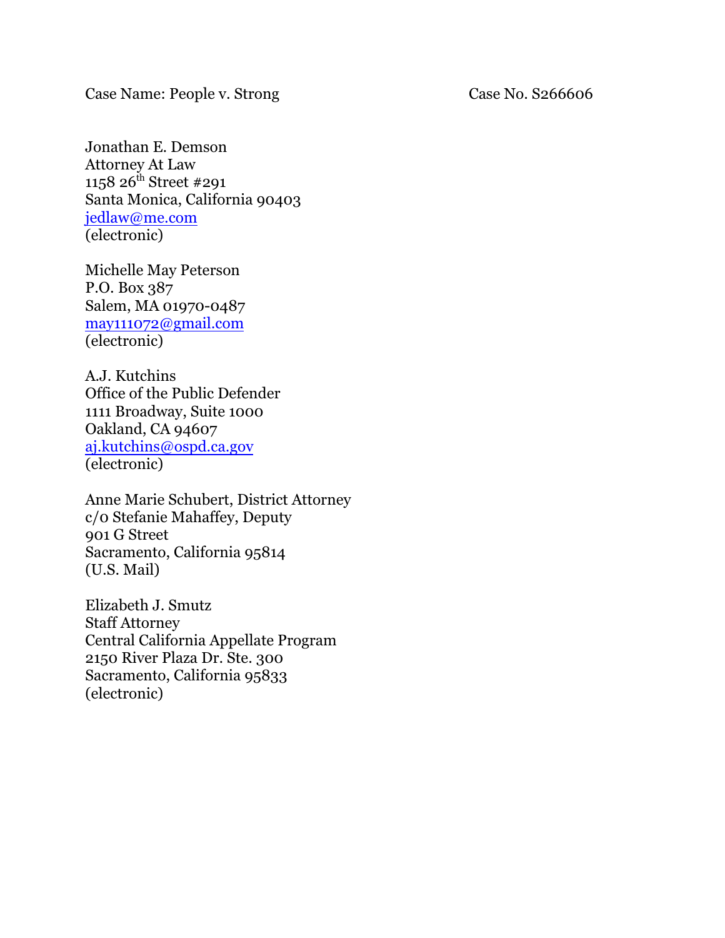Case Name: People v. Strong Case No. S266606

Jonathan E. Demson Attorney At Law 1158 26<sup>th</sup> Street #291 Santa Monica, California 90403 [jedlaw@me.com](mailto:jedlaw@me.com) (electronic)

Michelle May Peterson P.O. Box 387 Salem, MA 01970-0487 [may111072@gmail.com](mailto:may111072@gmail.com) (electronic)

A.J. Kutchins Office of the Public Defender 1111 Broadway, Suite 1000 Oakland, CA 94607 [aj.kutchins@ospd.ca.gov](mailto:aj.kutchins@ospd.ca.gov) (electronic)

Anne Marie Schubert, District Attorney c/0 Stefanie Mahaffey, Deputy 901 G Street Sacramento, California 95814 (U.S. Mail)

Elizabeth J. Smutz Staff Attorney Central California Appellate Program 2150 River Plaza Dr. Ste. 300 Sacramento, California 95833 (electronic)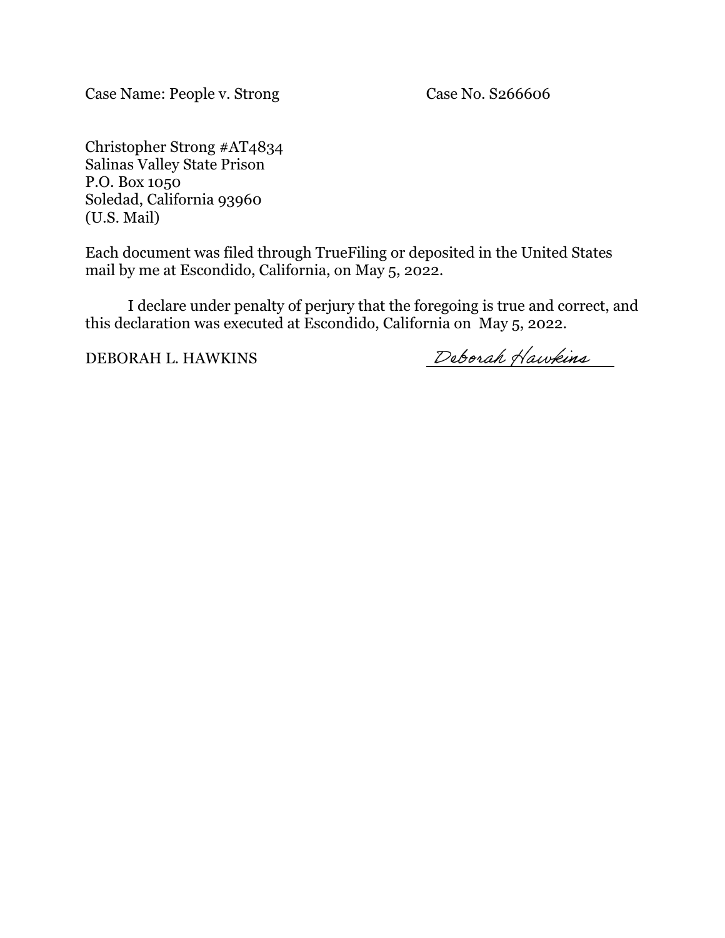Case Name: People v. Strong Case No. S266606

Christopher Strong #AT4834 Salinas Valley State Prison P.O. Box 1050 Soledad, California 93960 (U.S. Mail)

Each document was filed through TrueFiling or deposited in the United States mail by me at Escondido, California, on May 5, 2022.

I declare under penalty of perjury that the foregoing is true and correct, and this declaration was executed at Escondido, California on May 5, 2022.

DEBORAH L. HAWKINS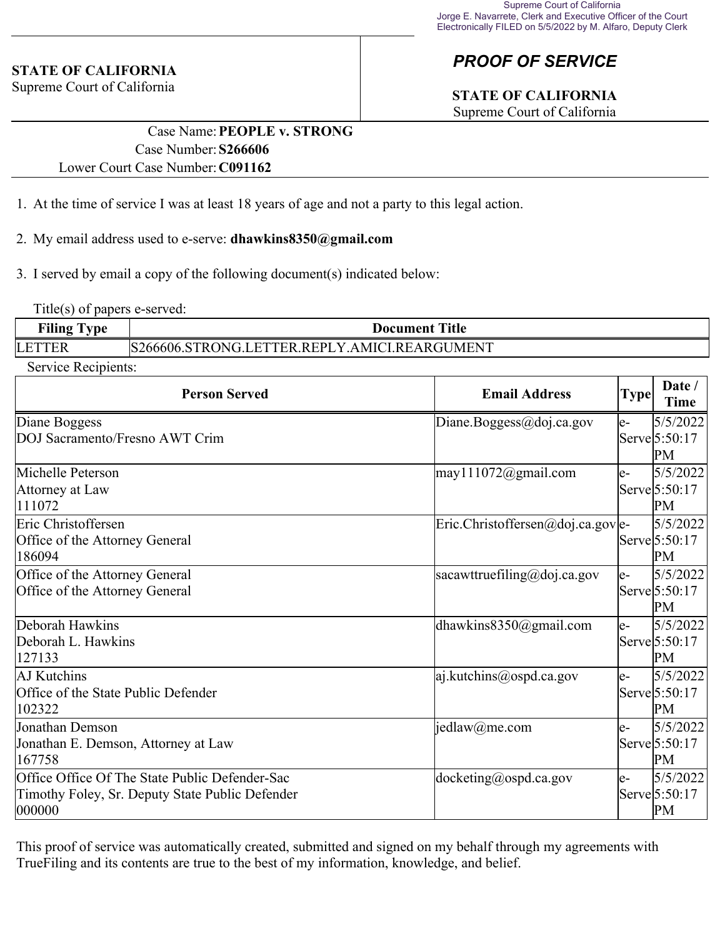#### **STATE OF CALIFORNIA**

Supreme Court of California

# *PROOF OF SERVICE*

# **STATE OF CALIFORNIA**

Supreme Court of California

### Case Name:**PEOPLE v. STRONG** Case Number:**S266606** Lower Court Case Number:**C091162**

- 1. At the time of service I was at least 18 years of age and not a party to this legal action.
- 2. My email address used to e-serve: **dhawkins8350@gmail.com**
- 3. I served by email a copy of the following document(s) indicated below:

Title(s) of papers e-served:

| <b>Filing Type</b> | Title<br>Document                            |
|--------------------|----------------------------------------------|
| LETTER             | S266606.STRONG.LETTER.REPLY.AMICI.REARGUMENT |

Service Recipients:

| <b>Person Served</b>                                                                                         | <b>Email Address</b>                       | <b>Type</b> | Date /<br><b>Time</b>           |
|--------------------------------------------------------------------------------------------------------------|--------------------------------------------|-------------|---------------------------------|
| Diane Boggess<br>DOJ Sacramento/Fresno AWT Crim                                                              | Diane.Boggess@doj.ca.gov                   | le-         | 5/5/2022<br>Serve 5:50:17<br>PM |
| Michelle Peterson<br>Attorney at Law<br>111072                                                               | $\text{may} 111072$ @gmail.com             | le-         | 5/5/2022<br>Serve 5:50:17<br>PM |
| Eric Christoffersen<br>Office of the Attorney General<br>186094                                              | $\text{Eric.Christoffersen@doj.ca.gov}$ e- |             | 5/5/2022<br>Serve 5:50:17<br>PM |
| Office of the Attorney General<br>Office of the Attorney General                                             | sacawttruefiling@doj.ca.gov                | le-         | 5/5/2022<br>Serve 5:50:17<br>PM |
| Deborah Hawkins<br>Deborah L. Hawkins<br>127133                                                              | dhawkins $8350$ @gmail.com                 | le-         | 5/5/2022<br>Serve 5:50:17<br>PM |
| AJ Kutchins<br>Office of the State Public Defender<br>102322                                                 | $ a $ .kutchins@ospd.ca.gov                | le-         | 5/5/2022<br>Serve 5:50:17<br>PM |
| Jonathan Demson<br>Jonathan E. Demson, Attorney at Law<br>167758                                             | $\text{jedlaw}(a)$ me.com                  | le-         | 5/5/2022<br>Serve 5:50:17<br>PM |
| Office Office Of The State Public Defender-Sac<br>Timothy Foley, Sr. Deputy State Public Defender<br> 000000 | $ $ docketing@ospd.ca.gov                  | le-         | 5/5/2022<br>Serve 5:50:17<br>PM |

This proof of service was automatically created, submitted and signed on my behalf through my agreements with TrueFiling and its contents are true to the best of my information, knowledge, and belief.